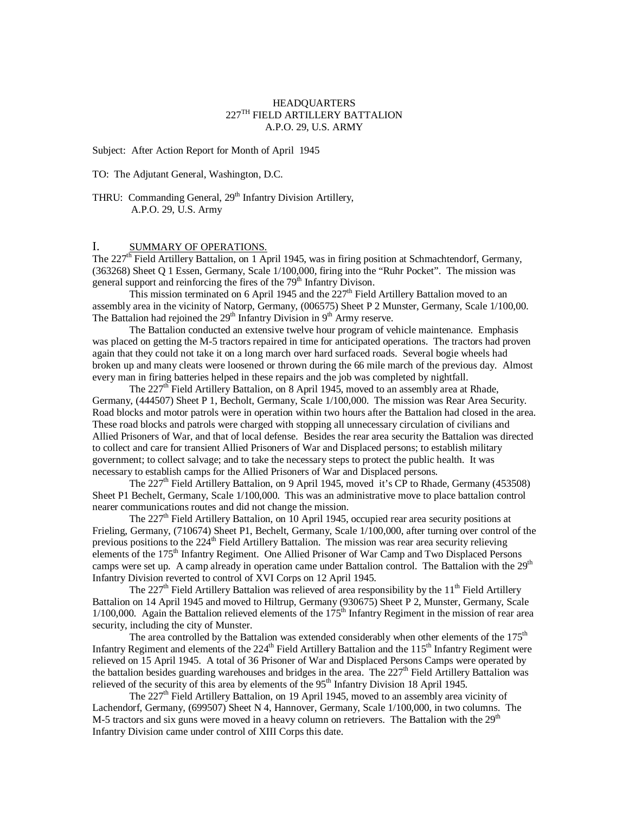### HEADQUARTERS  $227^{\mathrm{TH}}$  FIELD ARTILLERY BATTALION A.P.O. 29, U.S. ARMY

Subject: After Action Report for Month of April 1945

TO: The Adjutant General, Washington, D.C.

THRU: Commanding General, 29<sup>th</sup> Infantry Division Artillery, A.P.O. 29, U.S. Army

# I. SUMMARY OF OPERATIONS.

The 227<sup>th</sup> Field Artillery Battalion, on 1 April 1945, was in firing position at Schmachtendorf, Germany, (363268) Sheet Q 1 Essen, Germany, Scale 1/100,000, firing into the "Ruhr Pocket". The mission was general support and reinforcing the fires of the 79<sup>th</sup> Infantry Divison.

This mission terminated on 6 April 1945 and the 227<sup>th</sup> Field Artillery Battalion moved to an assembly area in the vicinity of Natorp, Germany, (006575) Sheet P 2 Munster, Germany, Scale 1/100,00. The Battalion had rejoined the  $29<sup>th</sup>$  Infantry Division in  $9<sup>th</sup>$  Army reserve.

The Battalion conducted an extensive twelve hour program of vehicle maintenance. Emphasis was placed on getting the M-5 tractors repaired in time for anticipated operations. The tractors had proven again that they could not take it on a long march over hard surfaced roads. Several bogie wheels had broken up and many cleats were loosened or thrown during the 66 mile march of the previous day. Almost every man in firing batteries helped in these repairs and the job was completed by nightfall.

The 227<sup>th</sup> Field Artillery Battalion, on 8 April 1945, moved to an assembly area at Rhade, Germany, (444507) Sheet P 1, Becholt, Germany, Scale 1/100,000. The mission was Rear Area Security. Road blocks and motor patrols were in operation within two hours after the Battalion had closed in the area. These road blocks and patrols were charged with stopping all unnecessary circulation of civilians and Allied Prisoners of War, and that of local defense. Besides the rear area security the Battalion was directed to collect and care for transient Allied Prisoners of War and Displaced persons; to establish military government; to collect salvage; and to take the necessary steps to protect the public health. It was necessary to establish camps for the Allied Prisoners of War and Displaced persons.

The  $227<sup>th</sup>$  Field Artillery Battalion, on 9 April 1945, moved it's CP to Rhade, Germany (453508) Sheet P1 Bechelt, Germany, Scale 1/100,000. This was an administrative move to place battalion control nearer communications routes and did not change the mission.

The  $227<sup>th</sup>$  Field Artillery Battalion, on 10 April 1945, occupied rear area security positions at Frieling, Germany, (710674) Sheet P1, Bechelt, Germany, Scale 1/100,000, after turning over control of the previous positions to the 224<sup>th</sup> Field Artillery Battalion. The mission was rear area security relieving elements of the 175<sup>th</sup> Infantry Regiment. One Allied Prisoner of War Camp and Two Displaced Persons camps were set up. A camp already in operation came under Battalion control. The Battalion with the 29<sup>th</sup> Infantry Division reverted to control of XVI Corps on 12 April 1945.

The 227<sup>th</sup> Field Artillery Battalion was relieved of area responsibility by the  $11<sup>th</sup>$  Field Artillery Battalion on 14 April 1945 and moved to Hiltrup, Germany (930675) Sheet P 2, Munster, Germany, Scale  $1/100,000$ . Again the Battalion relieved elements of the  $175<sup>th</sup>$  Infantry Regiment in the mission of rear area security, including the city of Munster.

The area controlled by the Battalion was extended considerably when other elements of the  $175<sup>th</sup>$ Infantry Regiment and elements of the  $224<sup>th</sup>$  Field Artillery Battalion and the  $115<sup>th</sup>$  Infantry Regiment were relieved on 15 April 1945. A total of 36 Prisoner of War and Displaced Persons Camps were operated by the battalion besides guarding warehouses and bridges in the area. The  $227<sup>th</sup>$  Field Artillery Battalion was relieved of the security of this area by elements of the  $95<sup>th</sup>$  Infantry Division 18 April 1945.

The  $227<sup>th</sup>$  Field Artillery Battalion, on 19 April 1945, moved to an assembly area vicinity of Lachendorf, Germany, (699507) Sheet N 4, Hannover, Germany, Scale 1/100,000, in two columns. The M-5 tractors and six guns were moved in a heavy column on retrievers. The Battalion with the  $29<sup>th</sup>$ Infantry Division came under control of XIII Corps this date.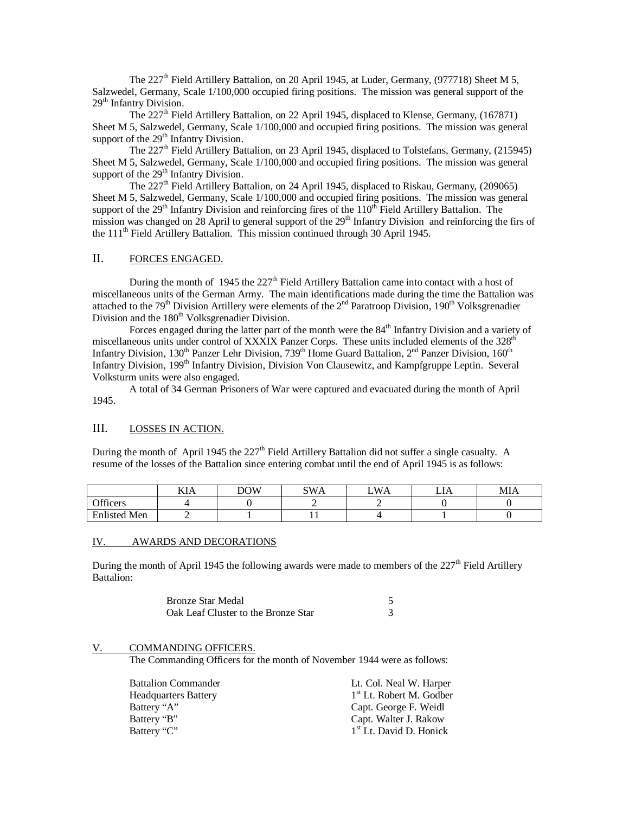The 227<sup>th</sup> Field Artillery Battalion, on 20 April 1945, at Luder, Germany, (977718) Sheet M 5, Salzwedel, Germany, Scale 1/100,000 occupied firing positions. The mission was general support of the 29<sup>th</sup> Infantry Division.

The  $227<sup>th</sup>$  Field Artillery Battalion, on 22 April 1945, displaced to Klense, Germany, (167871) Sheet M 5, Salzwedel, Germany, Scale 1/100,000 and occupied firing positions. The mission was general support of the 29<sup>th</sup> Infantry Division.

The  $227<sup>th</sup>$  Field Artillery Battalion, on 23 April 1945, displaced to Tolstefans, Germany, (215945) Sheet M 5, Salzwedel, Germany, Scale 1/100,000 and occupied firing positions. The mission was general support of the  $29<sup>th</sup>$  Infantry Division.

The  $227<sup>th</sup>$  Field Artillery Battalion, on 24 April 1945, displaced to Riskau, Germany, (209065) Sheet M 5, Salzwedel, Germany, Scale 1/100,000 and occupied firing positions. The mission was general support of the  $29<sup>th</sup>$  Infantry Division and reinforcing fires of the  $110<sup>th</sup>$  Field Artillery Battalion. The mission was changed on 28 April to general support of the  $29<sup>th</sup>$  Infantry Division and reinforcing the firs of the 111th Field Artillery Battalion. This mission continued through 30 April 1945.

### II. FORCES ENGAGED.

During the month of 1945 the  $227<sup>th</sup>$  Field Artillery Battalion came into contact with a host of miscellaneous units of the German Army. The main identifications made during the time the Battalion was attached to the 79<sup>th</sup> Division Artillery were elements of the  $2<sup>nd</sup>$  Paratroop Division, 190<sup>th</sup> Volksgrenadier Division and the 180<sup>th</sup> Volksgrenadier Division.

Forces engaged during the latter part of the month were the 84<sup>th</sup> Infantry Division and a variety of miscellaneous units under control of XXXIX Panzer Corps. These units included elements of the  $328<sup>th</sup>$ Infantry Division, 130<sup>th</sup> Panzer Lehr Division, 739<sup>th</sup> Home Guard Battalion, 2<sup>nd</sup> Panzer Division, 160<sup>th</sup> Infantry Division, 199<sup>th</sup> Infantry Division, Division Von Clausewitz, and Kampfgruppe Leptin. Several Volksturm units were also engaged.

A total of 34 German Prisoners of War were captured and evacuated during the month of April 1945.

### III. LOSSES IN ACTION.

During the month of April 1945 the 227<sup>th</sup> Field Artillery Battalion did not suffer a single casualty. A resume of the losses of the Battalion since entering combat until the end of April 1945 is as follows:

|                     | KIA | DOW | SWA | $W\Lambda$<br>'A | ⊷ | MIA |
|---------------------|-----|-----|-----|------------------|---|-----|
| Officers            |     |     |     |                  |   |     |
| <b>Enlisted Men</b> | -   |     | . . |                  |   |     |

#### IV. AWARDS AND DECORATIONS

During the month of April 1945 the following awards were made to members of the  $227<sup>th</sup>$  Field Artillery Battalion:

| Bronze Star Medal                   |  |
|-------------------------------------|--|
| Oak Leaf Cluster to the Bronze Star |  |

#### V. COMMANDING OFFICERS.

The Commanding Officers for the month of November 1944 were as follows:

| <b>Battalion Commander</b> | Lt. Col. Neal W. Harper             |
|----------------------------|-------------------------------------|
| Headquarters Battery       | $1st$ Lt. Robert M. Godber          |
| Battery "A"                | Capt. George F. Weidl               |
| Battery "B"                | Capt. Walter J. Rakow               |
| Battery "C"                | 1 <sup>st</sup> Lt. David D. Honick |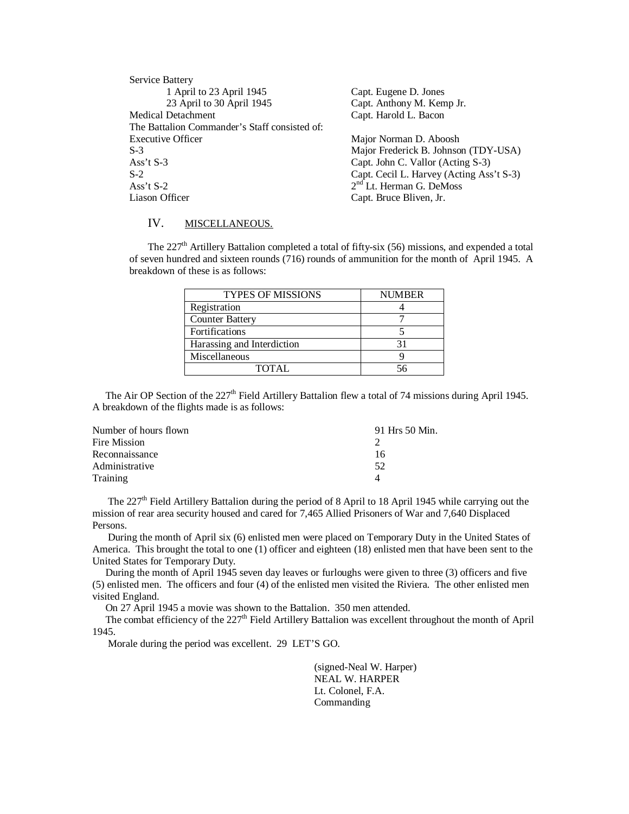| Service Battery                               |                                          |  |  |
|-----------------------------------------------|------------------------------------------|--|--|
| 1 April to 23 April 1945                      | Capt. Eugene D. Jones                    |  |  |
| 23 April to 30 April 1945                     | Capt. Anthony M. Kemp Jr.                |  |  |
| Medical Detachment                            | Capt. Harold L. Bacon                    |  |  |
| The Battalion Commander's Staff consisted of: |                                          |  |  |
| <b>Executive Officer</b>                      | Major Norman D. Aboosh                   |  |  |
| $S-3$                                         | Major Frederick B. Johnson (TDY-USA)     |  |  |
| Ass't $S-3$                                   | Capt. John C. Vallor (Acting S-3)        |  |  |
| $S-2$                                         | Capt. Cecil L. Harvey (Acting Ass't S-3) |  |  |
| Ass't $S-2$                                   | $2nd$ Lt. Herman G. DeMoss               |  |  |
| Liason Officer                                | Capt. Bruce Bliven, Jr.                  |  |  |

## IV. MISCELLANEOUS.

The 227<sup>th</sup> Artillery Battalion completed a total of fifty-six (56) missions, and expended a total of seven hundred and sixteen rounds (716) rounds of ammunition for the month of April 1945. A breakdown of these is as follows:

| <b>TYPES OF MISSIONS</b>   | <b>NUMBER</b> |
|----------------------------|---------------|
| Registration               |               |
| <b>Counter Battery</b>     |               |
| Fortifications             |               |
| Harassing and Interdiction |               |
| Miscellaneous              |               |
| TOTAL.                     |               |

The Air OP Section of the 227<sup>th</sup> Field Artillery Battalion flew a total of 74 missions during April 1945. A breakdown of the flights made is as follows:

| 91 Hrs 50 Min. |
|----------------|
|                |
| 16             |
| 52             |
| Δ              |
|                |

The  $227<sup>th</sup>$  Field Artillery Battalion during the period of 8 April to 18 April 1945 while carrying out the mission of rear area security housed and cared for 7,465 Allied Prisoners of War and 7,640 Displaced Persons.

 During the month of April six (6) enlisted men were placed on Temporary Duty in the United States of America. This brought the total to one (1) officer and eighteen (18) enlisted men that have been sent to the United States for Temporary Duty.

 During the month of April 1945 seven day leaves or furloughs were given to three (3) officers and five (5) enlisted men. The officers and four (4) of the enlisted men visited the Riviera. The other enlisted men visited England.

On 27 April 1945 a movie was shown to the Battalion. 350 men attended.

The combat efficiency of the  $227<sup>th</sup>$  Field Artillery Battalion was excellent throughout the month of April 1945.

Morale during the period was excellent. 29 LET'S GO.

(signed-Neal W. Harper) NEAL W. HARPER Lt. Colonel, F.A. Commanding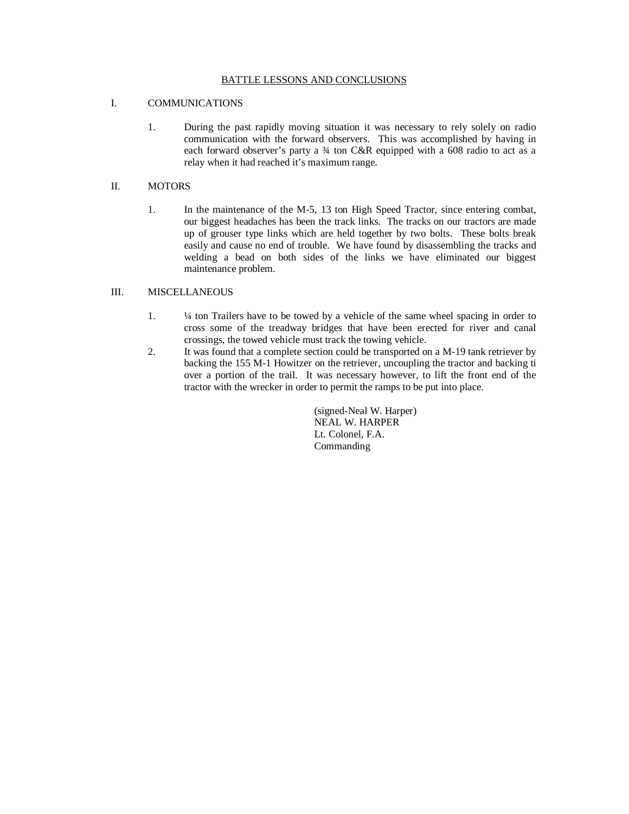#### BATTLE LESSONS AND CONCLUSIONS

### I. COMMUNICATIONS

1. During the past rapidly moving situation it was necessary to rely solely on radio communication with the forward observers. This was accomplished by having in each forward observer's party a 3⁄4 ton C&R equipped with a 608 radio to act as a relay when it had reached it's maximum range.

# II. MOTORS

1. In the maintenance of the M-5, 13 ton High Speed Tractor, since entering combat, our biggest headaches has been the track links. The tracks on our tractors are made up of grouser type links which are held together by two bolts. These bolts break easily and cause no end of trouble. We have found by disassembling the tracks and welding a bead on both sides of the links we have eliminated our biggest maintenance problem.

#### III. MISCELLANEOUS

- 1. ¼ ton Trailers have to be towed by a vehicle of the same wheel spacing in order to cross some of the treadway bridges that have been erected for river and canal crossings, the towed vehicle must track the towing vehicle.
- 2. It was found that a complete section could be transported on a M-19 tank retriever by backing the 155 M-1 Howitzer on the retriever, uncoupling the tractor and backing ti over a portion of the trail. It was necessary however, to lift the front end of the tractor with the wrecker in order to permit the ramps to be put into place.

(signed-Neal W. Harper) NEAL W. HARPER Lt. Colonel, F.A. Commanding